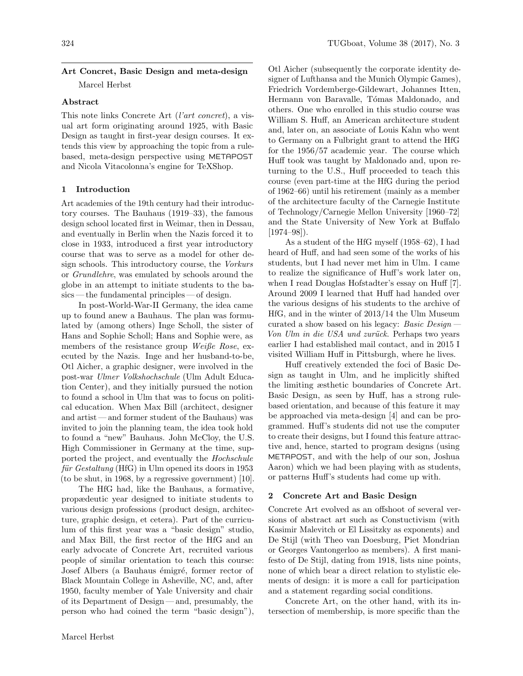# Art Concret, Basic Design and meta-design Marcel Herbst

## Abstract

This note links Concrete Art (l'art concret), a visual art form originating around 1925, with Basic Design as taught in first-year design courses. It extends this view by approaching the topic from a rulebased, meta-design perspective using METAPOST and Nicola Vitacolonna's engine for TeXShop.

# 1 Introduction

Art academies of the 19th century had their introductory courses. The Bauhaus (1919–33), the famous design school located first in Weimar, then in Dessau, and eventually in Berlin when the Nazis forced it to close in 1933, introduced a first year introductory course that was to serve as a model for other design schools. This introductory course, the Vorkurs or Grundlehre, was emulated by schools around the globe in an attempt to initiate students to the basics — the fundamental principles — of design.

In post-World-War-II Germany, the idea came up to found anew a Bauhaus. The plan was formulated by (among others) Inge Scholl, the sister of Hans and Sophie Scholl; Hans and Sophie were, as members of the resistance group Weiße Rose, executed by the Nazis. Inge and her husband-to-be, Otl Aicher, a graphic designer, were involved in the post-war Ulmer Volkshochschule (Ulm Adult Education Center), and they initially pursued the notion to found a school in Ulm that was to focus on political education. When Max Bill (architect, designer and artist—and former student of the Bauhaus) was invited to join the planning team, the idea took hold to found a "new" Bauhaus. John McCloy, the U.S. High Commissioner in Germany at the time, supported the project, and eventually the Hochschule  $für Gestaltung (HfG)$  in Ulm opened its doors in 1953 (to be shut, in 1968, by a regressive government) [\[10\]](#page-4-0).

The HfG had, like the Bauhaus, a formative, propædeutic year designed to initiate students to various design professions (product design, architecture, graphic design, et cetera). Part of the curriculum of this first year was a "basic design" studio, and Max Bill, the first rector of the HfG and an early advocate of Concrete Art, recruited various people of similar orientation to teach this course: Josef Albers (a Bauhaus émigré, former rector of Black Mountain College in Asheville, NC, and, after 1950, faculty member of Yale University and chair of its Department of Design — and, presumably, the person who had coined the term "basic design"), Otl Aicher (subsequently the corporate identity designer of Lufthansa and the Munich Olympic Games), Friedrich Vordemberge-Gildewart, Johannes Itten, Hermann von Baravalle, Tómas Maldonado, and others. One who enrolled in this studio course was William S. Huff, an American architecture student and, later on, an associate of Louis Kahn who went to Germany on a Fulbright grant to attend the HfG for the 1956/57 academic year. The course which Huff took was taught by Maldonado and, upon returning to the U.S., Huff proceeded to teach this course (even part-time at the HfG during the period of 1962–66) until his retirement (mainly as a member of the architecture faculty of the Carnegie Institute of Technology/Carnegie Mellon University [1960–72] and the State University of New York at Buffalo  $[1974-98]$ .

As a student of the HfG myself (1958–62), I had heard of Huff, and had seen some of the works of his students, but I had never met him in Ulm. I came to realize the significance of Huff's work later on, when I read Douglas Hofstadter's essay on Huff [\[7\]](#page-4-1). Around 2009 I learned that Huff had handed over the various designs of his students to the archive of HfG, and in the winter of 2013/14 the Ulm Museum curated a show based on his legacy: Basic Design Von Ulm in die USA und zurück. Perhaps two years earlier I had established mail contact, and in 2015 I visited William Huff in Pittsburgh, where he lives.

Huff creatively extended the foci of Basic Design as taught in Ulm, and he implicitly shifted the limiting æsthetic boundaries of Concrete Art. Basic Design, as seen by Huff, has a strong rulebased orientation, and because of this feature it may be approached via meta-design [\[4\]](#page-4-2) and can be programmed. Huff's students did not use the computer to create their designs, but I found this feature attractive and, hence, started to program designs (using METAPOST, and with the help of our son, Joshua Aaron) which we had been playing with as students, or patterns Huff's students had come up with.

#### 2 Concrete Art and Basic Design

Concrete Art evolved as an offshoot of several versions of abstract art such as Constuctivism (with Kasimir Malevitch or El Lissitzky as exponents) and De Stijl (with Theo van Doesburg, Piet Mondrian or Georges Vantongerloo as members). A first manifesto of De Stijl, dating from 1918, lists nine points, none of which bear a direct relation to stylistic elements of design: it is more a call for participation and a statement regarding social conditions.

Concrete Art, on the other hand, with its intersection of membership, is more specific than the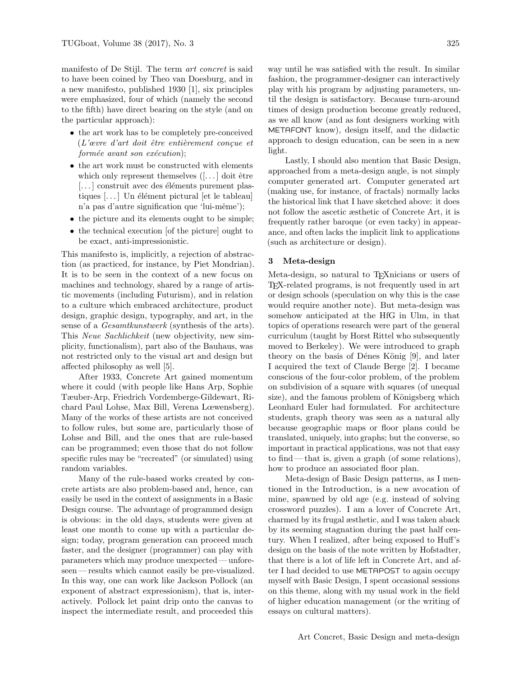manifesto of De Stijl. The term art concret is said to have been coined by Theo van Doesburg, and in a new manifesto, published 1930 [\[1\]](#page-4-3), six principles were emphasized, four of which (namely the second to the fifth) have direct bearing on the style (and on the particular approach):

- the art work has to be completely pre-conceived  $(L$ 'œvre d'art doit être entièrement conçue et  $form\acute{e}e$  avant son exécution);
- the art work must be constructed with elements which only represent themselves  $([-...]$  doit être  $\left[\ldots\right]$  construit avec des éléments purement plastiques  $\left[\ldots\right]$  Un élément pictural  $\left[\right]$ et le tableau] n'a pas d'autre signification que 'lui-même');
- the picture and its elements ought to be simple;
- the technical execution [of the picture] ought to be exact, anti-impressionistic.

This manifesto is, implicitly, a rejection of abstraction (as practiced, for instance, by Piet Mondrian). It is to be seen in the context of a new focus on machines and technology, shared by a range of artistic movements (including Futurism), and in relation to a culture which embraced architecture, product design, graphic design, typography, and art, in the sense of a Gesamtkunstwerk (synthesis of the arts). This Neue Sachlichkeit (new objectivity, new simplicity, functionalism), part also of the Bauhaus, was not restricted only to the visual art and design but affected philosophy as well [\[5\]](#page-4-4).

After 1933, Concrete Art gained momentum where it could (with people like Hans Arp, Sophie Tæuber-Arp, Friedrich Vordemberge-Gildewart, Richard Paul Lohse, Max Bill, Verena Lœwensberg). Many of the works of these artists are not conceived to follow rules, but some are, particularly those of Lohse and Bill, and the ones that are rule-based can be programmed; even those that do not follow specific rules may be "recreated" (or simulated) using random variables.

Many of the rule-based works created by concrete artists are also problem-based and, hence, can easily be used in the context of assignments in a Basic Design course. The advantage of programmed design is obvious: in the old days, students were given at least one month to come up with a particular design; today, program generation can proceed much faster, and the designer (programmer) can play with parameters which may produce unexpected — unforeseen — results which cannot easily be pre-visualized. In this way, one can work like Jackson Pollock (an exponent of abstract expressionism), that is, interactively. Pollock let paint drip onto the canvas to inspect the intermediate result, and proceeded this

way until he was satisfied with the result. In similar fashion, the programmer-designer can interactively play with his program by adjusting parameters, until the design is satisfactory. Because turn-around times of design production become greatly reduced, as we all know (and as font designers working with METAFONT know), design itself, and the didactic approach to design education, can be seen in a new light.

Lastly, I should also mention that Basic Design, approached from a meta-design angle, is not simply computer generated art. Computer generated art (making use, for instance, of fractals) normally lacks the historical link that I have sketched above: it does not follow the ascetic æsthetic of Concrete Art, it is frequently rather baroque (or even tacky) in appearance, and often lacks the implicit link to applications (such as architecture or design).

#### 3 Meta-design

Meta-design, so natural to TEXnicians or users of TEX-related programs, is not frequently used in art or design schools (speculation on why this is the case would require another note). But meta-design was somehow anticipated at the HfG in Ulm, in that topics of operations research were part of the general curriculum (taught by Horst Rittel who subsequently moved to Berkeley). We were introduced to graph theory on the basis of Dénes König [\[9\]](#page-4-5), and later I acquired the text of Claude Berge [\[2\]](#page-4-6). I became conscious of the four-color problem, of the problem on subdivision of a square with squares (of unequal size), and the famous problem of Königsberg which Leonhard Euler had formulated. For architecture students, graph theory was seen as a natural ally because geographic maps or floor plans could be translated, uniquely, into graphs; but the converse, so important in practical applications, was not that easy to find— that is, given a graph (of some relations), how to produce an associated floor plan.

Meta-design of Basic Design patterns, as I mentioned in the Introduction, is a new avocation of mine, spawned by old age (e.g. instead of solving crossword puzzles). I am a lover of Concrete Art, charmed by its frugal æsthetic, and I was taken aback by its seeming stagnation during the past half century. When I realized, after being exposed to Huff's design on the basis of the note written by Hofstadter, that there is a lot of life left in Concrete Art, and after I had decided to use METAPOST to again occupy myself with Basic Design, I spent occasional sessions on this theme, along with my usual work in the field of higher education management (or the writing of essays on cultural matters).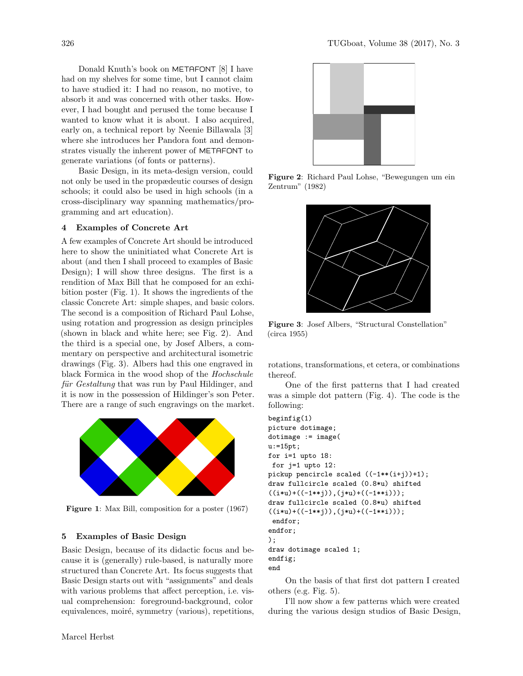Donald Knuth's book on METAFONT [\[8\]](#page-4-7) I have had on my shelves for some time, but I cannot claim to have studied it: I had no reason, no motive, to absorb it and was concerned with other tasks. However, I had bought and perused the tome because I wanted to know what it is about. I also acquired, early on, a technical report by Neenie Billawala [\[3\]](#page-4-8) where she introduces her Pandora font and demonstrates visually the inherent power of METAFONT to generate variations (of fonts or patterns).

Basic Design, in its meta-design version, could not only be used in the propædeutic courses of design schools; it could also be used in high schools (in a cross-disciplinary way spanning mathematics/programming and art education).

## 4 Examples of Concrete Art

A few examples of Concrete Art should be introduced here to show the uninitiated what Concrete Art is about (and then I shall proceed to examples of Basic Design); I will show three designs. The first is a rendition of Max Bill that he composed for an exhibition poster (Fig. [1\)](#page-2-0). It shows the ingredients of the classic Concrete Art: simple shapes, and basic colors. The second is a composition of Richard Paul Lohse, using rotation and progression as design principles (shown in black and white here; see Fig. [2\)](#page-2-1). And the third is a special one, by Josef Albers, a commentary on perspective and architectural isometric drawings (Fig. [3\)](#page-2-2). Albers had this one engraved in black Formica in the wood shop of the Hochschule für Gestaltung that was run by Paul Hildinger, and it is now in the possession of Hildinger's son Peter. There are a range of such engravings on the market.



Figure 1: Max Bill, composition for a poster (1967)

## <span id="page-2-0"></span>5 Examples of Basic Design

Basic Design, because of its didactic focus and because it is (generally) rule-based, is naturally more structured than Concrete Art. Its focus suggests that Basic Design starts out with "assignments" and deals with various problems that affect perception, i.e. visual comprehension: foreground-background, color equivalences, moiré, symmetry (various), repetitions,



Figure 2: Richard Paul Lohse, "Bewegungen um ein Zentrum" (1982)

<span id="page-2-1"></span>

Figure 3: Josef Albers, "Structural Constellation" (circa 1955)

<span id="page-2-2"></span>rotations, transformations, et cetera, or combinations thereof.

One of the first patterns that I had created was a simple dot pattern (Fig. [4\)](#page-3-0). The code is the following:

```
beginfig(1)
picture dotimage;
dotimage := image(
u:=15pt;
for i=1 upto 18:
for j=1 upto 12:
pickup pencircle scaled ((-1**(i+j))+1);
draw fullcircle scaled (0.8*u) shifted
((i * u) + ((-1 * * j)), (j * u) + ((-1 * * i)));
draw fullcircle scaled (0.8*u) shifted
((i * u) + ((-1 * * j)), (j * u) + ((-1 * * i)));
 endfor;
endfor;
);
draw dotimage scaled 1;
endfig;
end
```
On the basis of that first dot pattern I created others (e.g. Fig. [5\)](#page-3-1).

I'll now show a few patterns which were created during the various design studios of Basic Design,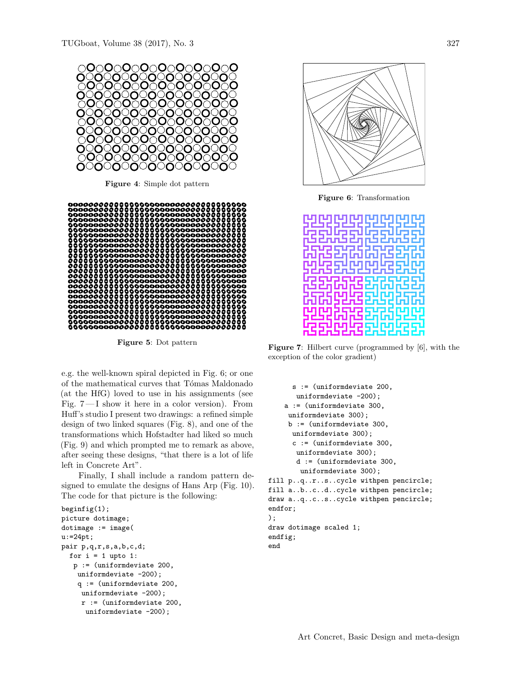

<span id="page-3-0"></span>Figure 4: Simple dot pattern



<span id="page-3-1"></span>Figure 5: Dot pattern

e.g. the well-known spiral depicted in Fig. [6;](#page-3-2) or one of the mathematical curves that Tómas Maldonado (at the HfG) loved to use in his assignments (see Fig. [7](#page-3-3)— I show it here in a color version). From Huff's studio I present two drawings: a refined simple design of two linked squares (Fig. [8\)](#page-4-9), and one of the transformations which Hofstadter had liked so much (Fig. [9\)](#page-4-10) and which prompted me to remark as above, after seeing these designs, "that there is a lot of life left in Concrete Art".

Finally, I shall include a random pattern designed to emulate the designs of Hans Arp (Fig. [10\)](#page-4-11). The code for that picture is the following:

```
begin{align} \n\frac{1}{2} \n\end{align}picture dotimage;
dotimage := image(
u:=24pt;pair p,q,r,s,a,b,c,d;
  for i = 1 upto 1:
   p := (uniformdeviate 200,
    uniformdeviate -200);
    q := (uniformdeviate 200,
     uniformdeviate -200);
     r := (uniformdeviate 200,
      uniformdeviate -200);
```


<span id="page-3-2"></span>Figure 6: Transformation



<span id="page-3-3"></span>Figure 7: Hilbert curve (programmed by [\[6\]](#page-4-12), with the exception of the color gradient)

```
s := (uniformdeviate 200,
       uniformdeviate -200);
   a := (uniformdeviate 300,
    uniformdeviate 300);
    b := (uniformdeviate 300,
     uniformdeviate 300);
     c := (uniformdeviate 300,
      uniformdeviate 300);
      d := (uniformdeviate 300,
       uniformdeviate 300);
fill p..q..r..s..cycle withpen pencircle;
fill a..b..c..d..cycle withpen pencircle;
draw a..q..c..s..cycle withpen pencircle;
endfor;
);
draw dotimage scaled 1;
endfig;
end
```